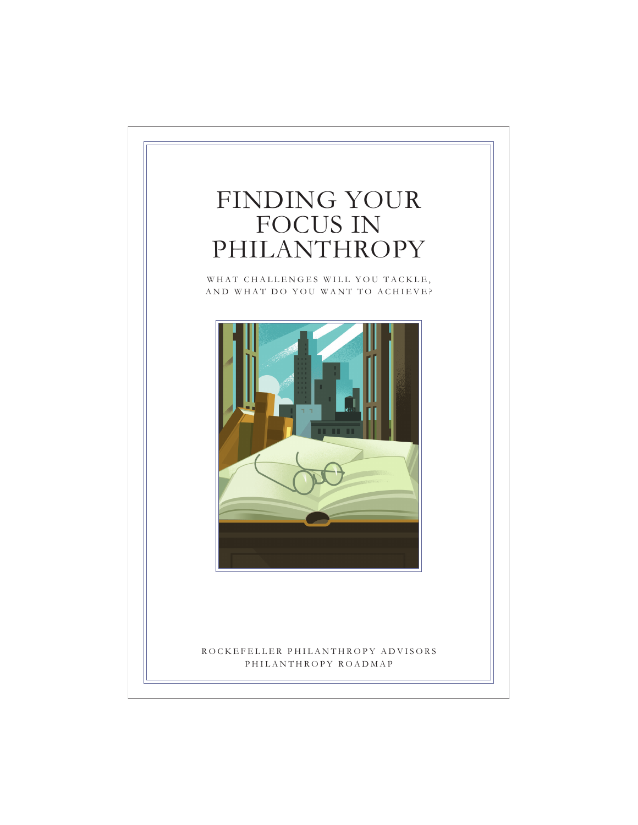# FINDING YOUR FOCUS IN PHILANTHROPY

WHAT CHALLENGES WILL YOU TACKLE, AND WHAT DO YOU WANT TO ACHIEVE?



## ROCKEFELLER PHILANTHROPY ADVISORS PHILANTHROPY ROADMAP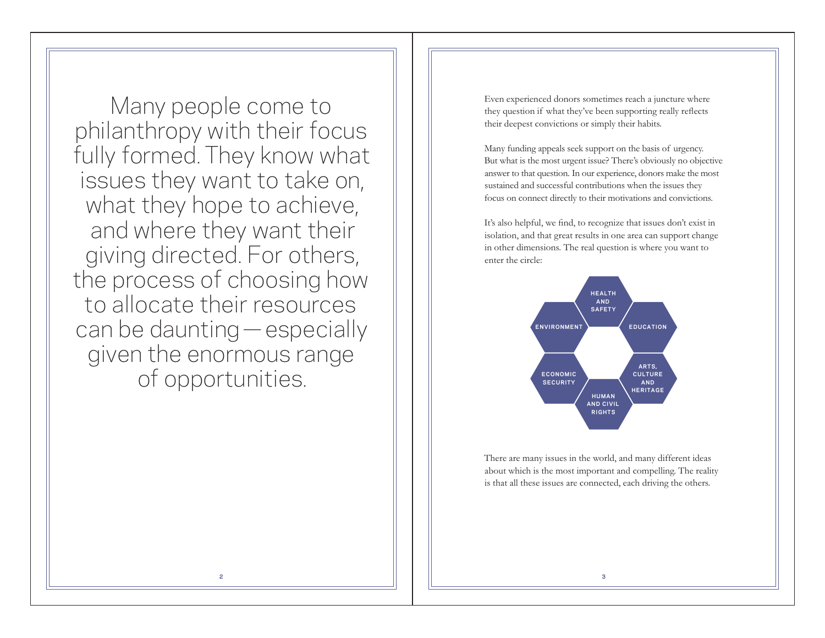Many people come to philanthropy with their focus fully formed. They know what issues they want to take on, what they hope to achieve, and where they want their giving directed. For others, the process of choosing how to allocate their resources can be daunting—especially given the enormous range of opportunities.

Even experienced donors sometimes reach a juncture where they question if what they've been supporting really reflects their deepest convictions or simply their habits.

Many funding appeals seek support on the basis of urgency. But what is the most urgent issue? There's obviously no objective answer to that question. In our experience, donors make the most sustained and successful contributions when the issues they focus on connect directly to their motivations and convictions.

It's also helpful, we find, to recognize that issues don't exist in isolation, and that great results in one area can support change in other dimensions. The real question is where you want to enter the circle:



There are many issues in the world, and many different ideas about which is the most important and compelling. The reality is that all these issues are connected, each driving the others.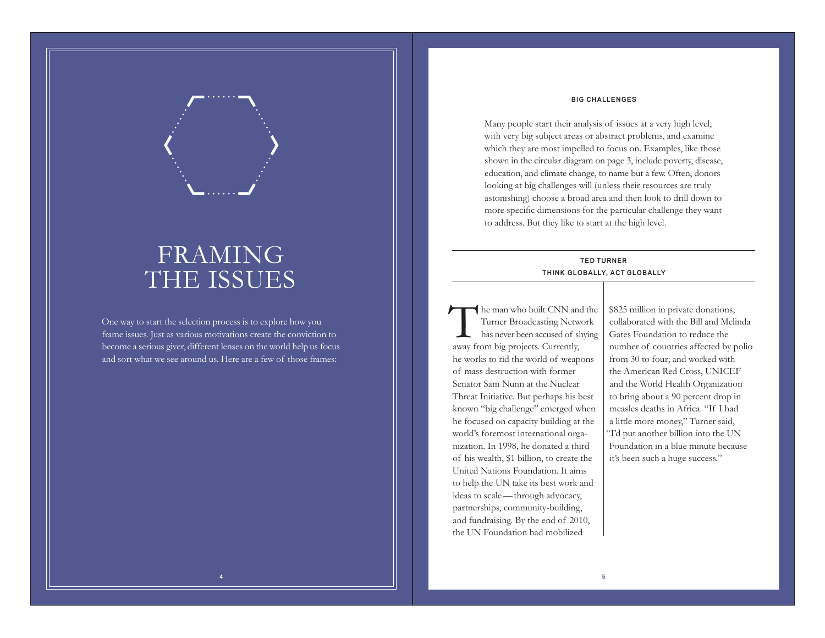#### **BIG CHALLENGES**

Many people start their analysis of issues at a very high level, with very big subject areas or abstract problems, and examine which they are most impelled to focus on. Examples, like those shown in the circular diagram on page 3, include poverty, disease, education, and climate change, to name but a few. Often, donors looking at big challenges will (unless their resources are truly astonishing) choose a broad area and then look to drill down to more specific dimensions for the particular challenge they want to address. But they like to start at the high level.

### **TED TURNER TH INK GLOBALLY, ACT GLOBALLY**

The man who built CNN and the Turner Broadcasting Network has never been accused of shying away from big projects. Currently, he works to rid the world of weapons of mass destruction with former Senator Sam Nunn at the Nuclear Threat Initiative. But perhaps his best known "big challenge" emerged when he focused on capacity building at the world's foremost international organization. In 1998, he donated a third of his wealth, \$1 billion, to create the United Nations Foundation. It aims to help the UN take its best work and ideas to scale—through advocacy, partnerships, community-building, and fundraising. By the end of 2010, the UN Foundation had mobilized

\$825 million in private donations; collaborated with the Bill and Melinda Gates Foundation to reduce the number of countries affected by polio from 30 to four; and worked with the American Red Cross, UNICEF and the World Health Organization to bring about a 90 percent drop in measles deaths in Africa. "If I had a little more money," Turner said, "I'd put another billion into the UN Foundation in a blue minute because it's been such a huge success."

## FRAMING THE ISSUES

One way to start the selection process is to explore how you frame issues. Just as various motivations create the conviction to become a serious giver, different lenses on the world help us focus and sort what we see around us. Here are a few of those frames: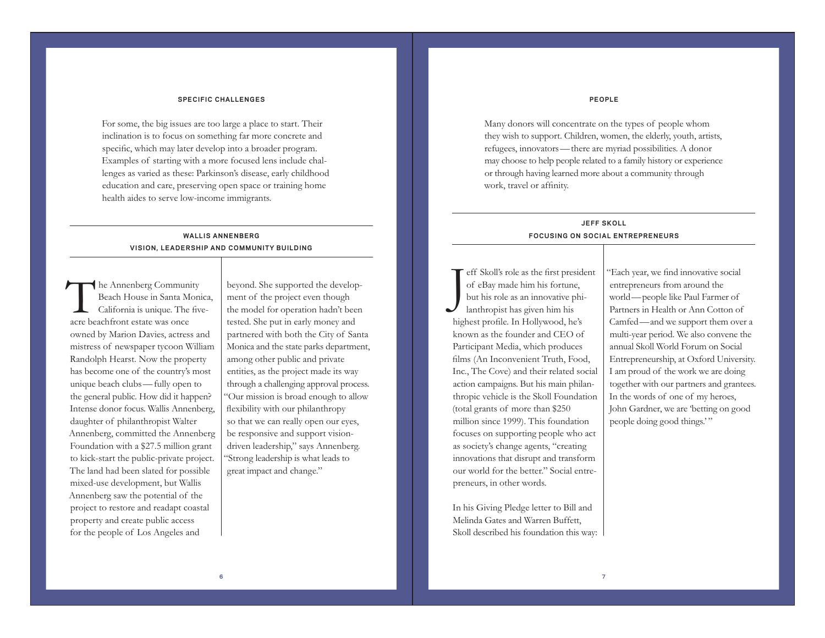#### **SPECIFIC CHALLENGES**

For some, the big issues are too large a place to start. Their inclination is to focus on something far more concrete and specific, which may later develop into a broader program. Examples of starting with a more focused lens include challenges as varied as these: Parkinson's disease, early childhood education and care, preserving open space or training home health aides to serve low-income immigrants.

## **WALLIS ANNENBERG VISION, LEADERSHIP AND COMMUNITY BUILDING**

The Annenberg Community Beach House in Santa Monica, California is unique. The fiveacre beachfront estate was once owned by Marion Davies, actress and mistress of newspaper tycoon William Randolph Hearst. Now the property has become one of the country's most unique beach clubs—fully open to the general public. How did it happen? Intense donor focus. Wallis Annenberg, daughter of philanthropist Walter Annenberg, committed the Annenberg Foundation with a \$27.5 million grant to kick-start the public-private project. The land had been slated for possible mixed-use development, but Wallis Annenberg saw the potential of the project to restore and readapt coastal property and create public access for the people of Los Angeles and

beyond. She supported the development of the project even though the model for operation hadn't been tested. She put in early money and partnered with both the City of Santa Monica and the state parks department, among other public and private entities, as the project made its way through a challenging approval process. "Our mission is broad enough to allow flexibility with our philanthropy so that we can really open our eyes, be responsive and support visiondriven leadership," says Annenberg. "Strong leadership is what leads to great impact and change."

#### **PEOPLE**

Many donors will concentrate on the types of people whom they wish to support. Children, women, the elderly, youth, artists, refugees, innovators—there are myriad possibilities. A donor may choose to help people related to a family history or experience or through having learned more about a community through work, travel or affinity.

## **JEFF SKOLL FOCUSING ON SOCIAL ENTREPRENEURS**

Jeff Skoll's role as the first president of eBay made him his fortune, but his role as an innovative phi- lanthropist has given him his highest profile. In Hollywood, he's known as the founder and CEO of Participant Media, which produces films (An Inconvenient Truth, Food, Inc., The Cove) and their related social action campaigns. But his main philanthropic vehicle is the Skoll Foundation (total grants of more than \$250 million since 1999). This foundation focuses on supporting people who act as society's change agents, "creating innovations that disrupt and transform our world for the better." Social entrepreneurs, in other words.

In his Giving Pledge letter to Bill and Melinda Gates and Warren Buffett, Skoll described his foundation this way: "Each year, we find innovative social entrepreneurs from around the world—people like Paul Farmer of Partners in Health or Ann Cotton of Camfed—and we support them over a multi-year period. We also convene the annual Skoll World Forum on Social Entrepreneurship, at Oxford University. I am proud of the work we are doing together with our partners and grantees. In the words of one of my heroes, John Gardner, we are 'betting on good people doing good things.'"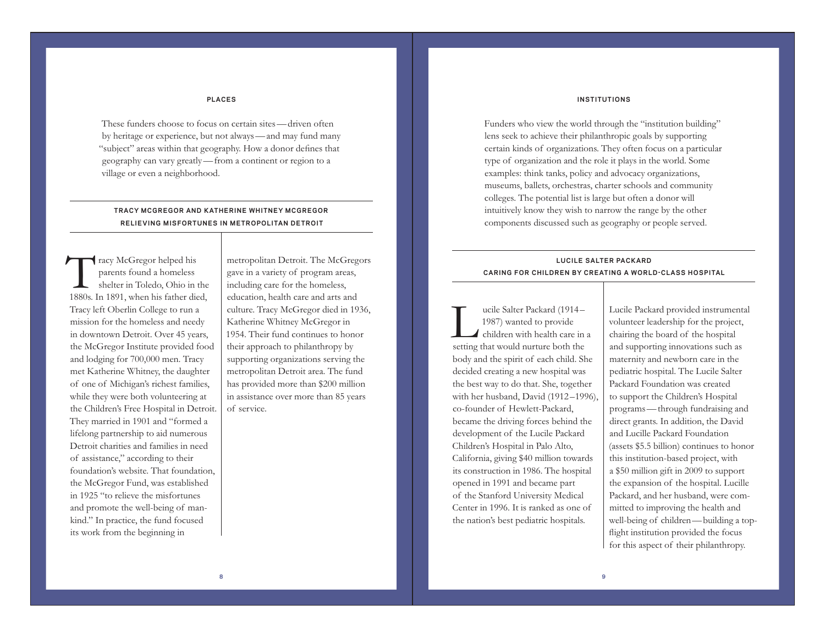#### **INSTITUTIONS**

**PLACES**

These funders choose to focus on certain sites—driven often by heritage or experience, but not always—and may fund many "subject" areas within that geography. How a donor defines that geography can vary greatly—from a continent or region to a village or even a neighborhood.

### **TRACY MCGREGOR AND KATHERINE WHITNEY MCGREGOR RELIEVING MISFORTUNES IN METROPOLITAN DETROIT**

Tracy McGregor helped his parents found a homeless shelter in Toledo, Ohio in the 1880s. In 1891, when his father died, Tracy left Oberlin College to run a mission for the homeless and needy in downtown Detroit. Over 45 years, the McGregor Institute provided food and lodging for 700,000 men. Tracy met Katherine Whitney, the daughter of one of Michigan's richest families, while they were both volunteering at the Children's Free Hospital in Detroit. They married in 1901 and "formed a lifelong partnership to aid numerous Detroit charities and families in need of assistance," according to their foundation's website. That foundation, the McGregor Fund, was established in 1925 "to relieve the misfortunes and promote the well-being of mankind." In practice, the fund focused its work from the beginning in

metropolitan Detroit. The McGregors gave in a variety of program areas, including care for the homeless, education, health care and arts and culture. Tracy McGregor died in 1936, Katherine Whitney McGregor in 1954. Their fund continues to honor their approach to philanthropy by supporting organizations serving the metropolitan Detroit area. The fund has provided more than \$200 million in assistance over more than 85 years of service.

Funders who view the world through the "institution building" lens seek to achieve their philanthropic goals by supporting certain kinds of organizations. They often focus on a particular type of organization and the role it plays in the world. Some examples: think tanks, policy and advocacy organizations, museums, ballets, orchestras, charter schools and community colleges. The potential list is large but often a donor will intuitively know they wish to narrow the range by the other components discussed such as geography or people served.

## **LUC ILE SALTER PACKARD CARING FOR CHILDREN BY CREATING A WORLD-CLASS HOSPITAL**

ucile Salter Packard (1914 – 1987) wanted to provide<br>
children with health care in a setting that would nurture both the body and the spirit of each child. She decided creating a new hospital was the best way to do that. She, together with her husband, David (1912 –1996), co-founder of Hewlett-Packard, became the driving forces behind the development of the Lucile Packard Children's Hospital in Palo Alto, California, giving \$40 million towards its construction in 1986. The hospital opened in 1991 and became part of the Stanford University Medical Center in 1996. It is ranked as one of the nation's best pediatric hospitals.

Lucile Packard provided instrumental volunteer leadership for the project, chairing the board of the hospital and supporting innovations such as maternity and newborn care in the pediatric hospital. The Lucile Salter Packard Foundation was created to support the Children's Hospital programs—through fundraising and direct grants. In addition, the David and Lucille Packard Foundation (assets \$5.5 billion) continues to honor this institution-based project, with a \$50 million gift in 2009 to support the expansion of the hospital. Lucille Packard, and her husband, were committed to improving the health and well-being of children—building a topflight institution provided the focus for this aspect of their philanthropy.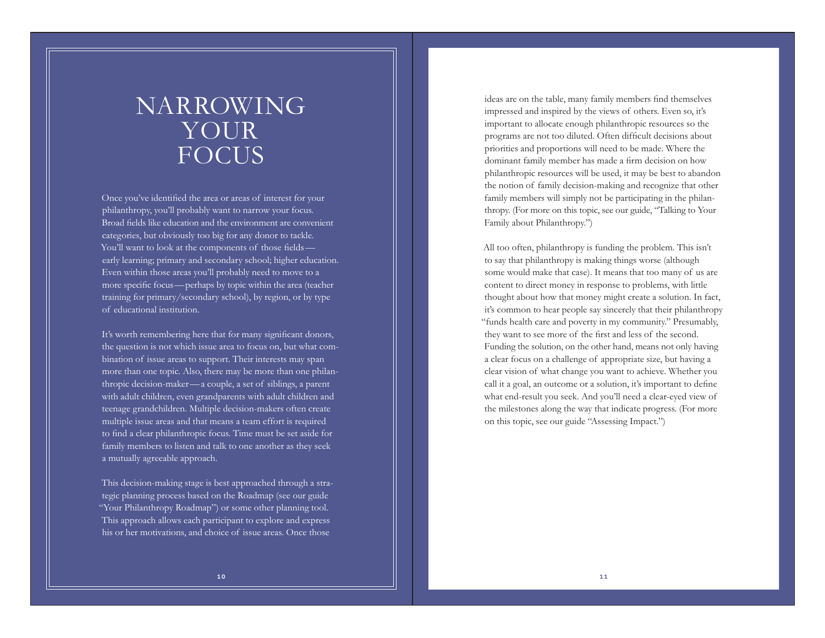# NARROWING YOUR **FOCUS**

Once you've identified the area or areas of interest for your philanthropy, you'll probably want to narrow your focus. Broad fields like education and the environment are convenient categories, but obviously too big for any donor to tackle. You'll want to look at the components of those fields early learning; primary and secondary school; higher education. Even within those areas you'll probably need to move to a more specific focus—perhaps by topic within the area (teacher training for primary/secondary school), by region, or by type of educational institution.

It's worth remembering here that for many significant donors, the question is not which issue area to focus on, but what combination of issue areas to support. Their interests may span more than one topic. Also, there may be more than one philanthropic decision-maker—a couple, a set of siblings, a parent with adult children, even grandparents with adult children and teenage grandchildren. Multiple decision-makers often create multiple issue areas and that means a team effort is required to find a clear philanthropic focus. Time must be set aside for family members to listen and talk to one another as they seek a mutually agreeable approach.

This decision-making stage is best approached through a strategic planning process based on the Roadmap (see our guide "Your Philanthropy Roadmap") or some other planning tool. This approach allows each participant to explore and express his or her motivations, and choice of issue areas. Once those

ideas are on the table, many family members find themselves impressed and inspired by the views of others. Even so, it's important to allocate enough philanthropic resources so the programs are not too diluted. Often difficult decisions about priorities and proportions will need to be made. Where the dominant family member has made a firm decision on how philanthropic resources will be used, it may be best to abandon the notion of family decision-making and recognize that other family members will simply not be participating in the philanthropy. (For more on this topic, see our guide, "Talking to Your Family about Philanthropy.")

All too often, philanthropy is funding the problem. This isn't to say that philanthropy is making things worse (although some would make that case). It means that too many of us are content to direct money in response to problems, with little thought about how that money might create a solution. In fact, it's common to hear people say sincerely that their philanthropy "funds health care and poverty in my community." Presumably, they want to see more of the first and less of the second. Funding the solution, on the other hand, means not only having a clear focus on a challenge of appropriate size, but having a clear vision of what change you want to achieve. Whether you call it a goal, an outcome or a solution, it's important to define what end-result you seek. And you'll need a clear-eyed view of the milestones along the way that indicate progress. (For more on this topic, see our guide "Assessing Impact.")